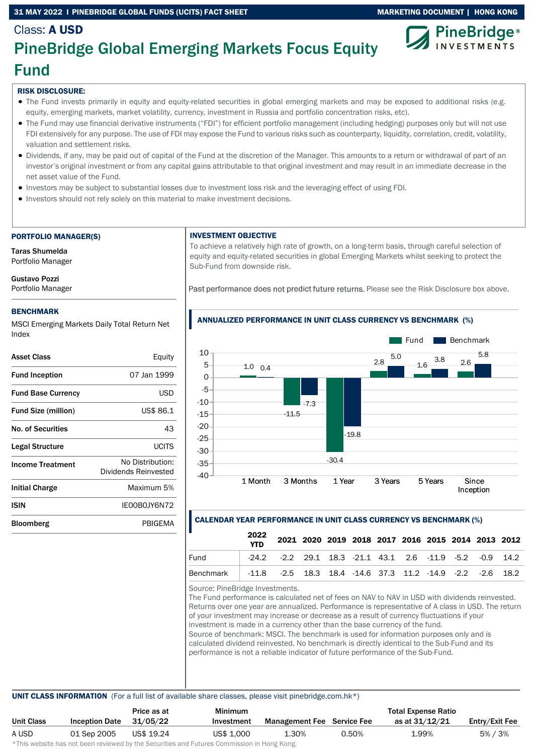### 31 MAY 2022 I PINEBRIDGE GLOBAL FUNDS (UCITS) FACT SHEET MARKETING MARKETING DOCUMENT | HONG KONG



## Class: A USD PineBridge Global Emerging Markets Focus Equity Fund

### RISK DISCLOSURE:

- The Fund invests primarily in equity and equity-related securities in global emerging markets and may be exposed to additional risks (e.g. equity, emerging markets, market volatility, currency, investment in Russia and portfolio concentration risks, etc).
- The Fund may use financial derivative instruments ("FDI") for efficient portfolio management (including hedging) purposes only but will not use FDI extensively for any purpose. The use of FDI may expose the Fund to various risks such as counterparty, liquidity, correlation, credit, volatility, valuation and settlement risks.
- Dividends, if any, may be paid out of capital of the Fund at the discretion of the Manager. This amounts to a return or withdrawal of part of an investor's original investment or from any capital gains attributable to that original investment and may result in an immediate decrease in the net asset value of the Fund.
- Investors may be subject to substantial losses due to investment loss risk and the leveraging effect of using FDI.
- Investors should not rely solely on this material to make investment decisions.

### PORTFOLIO MANAGER(S)

Taras Shumelda Portfolio Manager

Gustavo Pozzi Portfolio Manager

### BENCHMARK

MSCI Emerging Markets Daily Total Return Net Index

| Asset Class                | Equity                                   |
|----------------------------|------------------------------------------|
| <b>Fund Inception</b>      | 07 Jan 1999                              |
| <b>Fund Base Currency</b>  | USD                                      |
| <b>Fund Size (million)</b> | US\$ 86.1                                |
| <b>No. of Securities</b>   | 43                                       |
| Legal Structure            | LICITS                                   |
| <b>Income Treatment</b>    | No Distribution:<br>Dividends Reinvested |
| Initial Charge             | Maximum 5%                               |
| <b>ISIN</b>                | IE00B0JY6N72                             |
| <b>Bloomberg</b>           | PRIGFMA                                  |
|                            |                                          |

### INVESTMENT OBJECTIVE

To achieve a relatively high rate of growth, on a long-term basis, through careful selection of equity and equity-related securities in global Emerging Markets whilst seeking to protect the Sub-Fund from downside risk.

Past performance does not predict future returns. Please see the Risk Disclosure box above.



### ANNUALIZED PERFORMANCE IN UNIT CLASS CURRENCY VS BENCHMARK (%)

### CALENDAR YEAR PERFORMANCE IN UNIT CLASS CURRENCY VS BENCHMARK (%)

|                  | 2022<br><b>YTD</b> |                                                                       |  | 2021 2020 2019 2018 2017 2016 2015 2014 2013 2012 |  |  |  |
|------------------|--------------------|-----------------------------------------------------------------------|--|---------------------------------------------------|--|--|--|
| Fund             |                    | $-24.2$ $-2.2$ 29.1 18.3 $-21.1$ 43.1 2.6 $-11.9$ $-5.2$ $-0.9$ 14.2  |  |                                                   |  |  |  |
| <b>Benchmark</b> |                    | $-11.8$ $-2.5$ 18.3 18.4 $-14.6$ 37.3 11.2 $-14.9$ $-2.2$ $-2.6$ 18.2 |  |                                                   |  |  |  |

Source: PineBridge Investments.

The Fund performance is calculated net of fees on NAV to NAV in USD with dividends reinvested. Returns over one year are annualized. Performance is representative of A class in USD. The return of your investment may increase or decrease as a result of currency fluctuations if your investment is made in a currency other than the base currency of the fund. Source of benchmark: MSCI. The benchmark is used for information purposes only and is calculated dividend reinvested. No benchmark is directly identical to the Sub-Fund and its performance is not a reliable indicator of future performance of the Sub-Fund.

### UNIT CLASS INFORMATION (For a full list of available share classes, please visit pinebridge.com.hk\*)

|            |                       | Price as at | <b>Minimum</b> |                                   |       | <b>Total Expense Ratio</b> |                |
|------------|-----------------------|-------------|----------------|-----------------------------------|-------|----------------------------|----------------|
| Unit Class | <b>Inception Date</b> | 31/05/22    | Investment     | <b>Management Fee</b> Service Fee |       | as at 31/12/21             | Entry/Exit Fee |
| A USD      | 01 Sep 2005           | US\$ 19.24  | US\$ 1,000     | 1.30%                             | 0.50% | ⊥.99%                      | 5% / 3%        |

\*This website has not been reviewed by the Securities and Futures Commission in Hong Kong.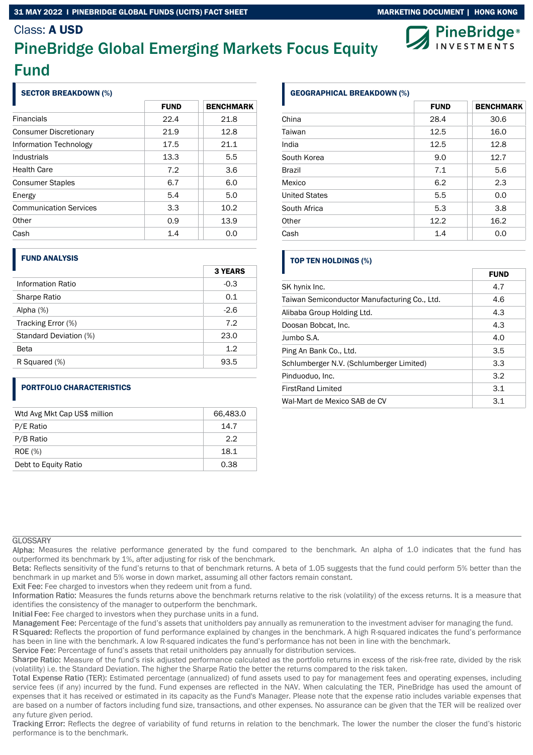### 31 MAY 2022 I PINEBRIDGE GLOBAL FUNDS (UCITS) FACT SHEET MARKETING DOCUMENT | HONG KONG

### Class: A USD

# PineBridge Global Emerging Markets Focus Equity Fund

### SECTOR BREAKDOWN (%)

|                               | <b>FUND</b> | <b>BENCHMARK</b> |
|-------------------------------|-------------|------------------|
| <b>Financials</b>             | 22.4        | 21.8             |
| <b>Consumer Discretionary</b> | 21.9        | 12.8             |
| Information Technology        | 17.5        | 21.1             |
| Industrials                   | 13.3        | 5.5              |
| <b>Health Care</b>            | 7.2         | 3.6              |
| <b>Consumer Staples</b>       | 6.7         | 6.0              |
| Energy                        | 5.4         | 5.0              |
| <b>Communication Services</b> | 3.3         | 10.2             |
| Other                         | 0.9         | 13.9             |
| Cash                          | 1.4         | 0.0              |

### FUND ANALYSIS

|                        | <b>3 YEARS</b> |
|------------------------|----------------|
| Information Ratio      | $-0.3$         |
| Sharpe Ratio           | 0.1            |
| Alpha $(%)$            | $-2.6$         |
| Tracking Error (%)     | 7.2            |
| Standard Deviation (%) | 23.0           |
| Beta                   | 1.2            |
| R Squared (%)          | 93.5           |

### PORTFOLIO CHARACTERISTICS

| Wtd Avg Mkt Cap US\$ million | 66,483.0 |
|------------------------------|----------|
| P/E Ratio                    | 14.7     |
| P/B Ratio                    | 2.2      |
| <b>ROE</b> (%)               | 18.1     |
| Debt to Equity Ratio         | 0.38     |

### GEOGRAPHICAL BREAKDOWN (%)

|                      | <b>FUND</b> | <b>BENCHMARK</b> |
|----------------------|-------------|------------------|
| China                | 28.4        | 30.6             |
| Taiwan               | 12.5        | 16.0             |
| India                | 12.5        | 12.8             |
| South Korea          | 9.0         | 12.7             |
| <b>Brazil</b>        | 7.1         | 5.6              |
| Mexico               | 6.2         | 2.3              |
| <b>United States</b> | 5.5         | 0.0              |
| South Africa         | 5.3         | 3.8              |
| Other                | 12.2        | 16.2             |
| Cash                 | 1.4         | 0.0              |

### TOP TEN HOLDINGS (%)

|                                              | <b>FUND</b> |
|----------------------------------------------|-------------|
| SK hynix Inc.                                | 4.7         |
| Taiwan Semiconductor Manufacturing Co., Ltd. | 4.6         |
| Alibaba Group Holding Ltd.                   | 4.3         |
| Doosan Bobcat, Inc.                          | 4.3         |
| Jumbo S.A.                                   | 4.0         |
| Ping An Bank Co., Ltd.                       | 3.5         |
| Schlumberger N.V. (Schlumberger Limited)     | 3.3         |
| Pinduoduo, Inc.                              | 3.2         |
| <b>FirstRand Limited</b>                     | 3.1         |
| Wal-Mart de Mexico SAB de CV                 | 3.1         |

### **GLOSSARY**

Alpha: Measures the relative performance generated by the fund compared to the benchmark. An alpha of 1.0 indicates that the fund has outperformed its benchmark by 1%, after adjusting for risk of the benchmark.

Beta: Reflects sensitivity of the fund's returns to that of benchmark returns. A beta of 1.05 suggests that the fund could perform 5% better than the benchmark in up market and 5% worse in down market, assuming all other factors remain constant.

Exit Fee: Fee charged to investors when they redeem unit from a fund.

Information Ratio: Measures the funds returns above the benchmark returns relative to the risk (volatility) of the excess returns. It is a measure that identifies the consistency of the manager to outperform the benchmark.

Initial Fee: Fee charged to investors when they purchase units in a fund.

Management Fee: Percentage of the fund's assets that unitholders pay annually as remuneration to the investment adviser for managing the fund.

R Squared: Reflects the proportion of fund performance explained by changes in the benchmark. A high R-squared indicates the fund's performance has been in line with the benchmark. A low R-squared indicates the fund's performance has not been in line with the benchmark.

Service Fee: Percentage of fund's assets that retail unitholders pay annually for distribution services.

Sharpe Ratio: Measure of the fund's risk adjusted performance calculated as the portfolio returns in excess of the risk-free rate, divided by the risk (volatility) i.e. the Standard Deviation. The higher the Sharpe Ratio the better the returns compared to the risk taken.

Total Expense Ratio (TER): Estimated percentage (annualized) of fund assets used to pay for management fees and operating expenses, including service fees (if any) incurred by the fund. Fund expenses are reflected in the NAV. When calculating the TER, PineBridge has used the amount of expenses that it has received or estimated in its capacity as the Fund's Manager. Please note that the expense ratio includes variable expenses that are based on a number of factors including fund size, transactions, and other expenses. No assurance can be given that the TER will be realized over any future given period.

Tracking Error: Reflects the degree of variability of fund returns in relation to the benchmark. The lower the number the closer the fund's historic performance is to the benchmark.